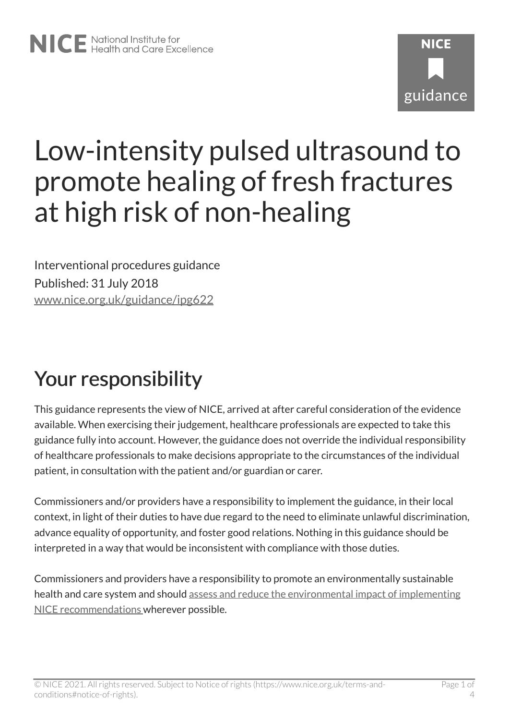# **NICF** guidance

# Low-intensity pulsed ultrasound to promote healing of fresh fractures at high risk of non-healing

Interventional procedures guidance Published: 31 July 2018 [www.nice.org.uk/guidance/ipg622](https://www.nice.org.uk/guidance/ipg622) 

# Your responsibility

This guidance represents the view of NICE, arrived at after careful consideration of the evidence available. When exercising their judgement, healthcare professionals are expected to take this guidance fully into account. However, the guidance does not override the individual responsibility of healthcare professionals to make decisions appropriate to the circumstances of the individual patient, in consultation with the patient and/or guardian or carer.

Commissioners and/or providers have a responsibility to implement the guidance, in their local context, in light of their duties to have due regard to the need to eliminate unlawful discrimination, advance equality of opportunity, and foster good relations. Nothing in this guidance should be interpreted in a way that would be inconsistent with compliance with those duties.

Commissioners and providers have a responsibility to promote an environmentally sustainable health and care system and should [assess and reduce the environmental impact of implementing](https://www.nice.org.uk/about/who-we-are/sustainability)  [NICE recommendations w](https://www.nice.org.uk/about/who-we-are/sustainability)herever possible.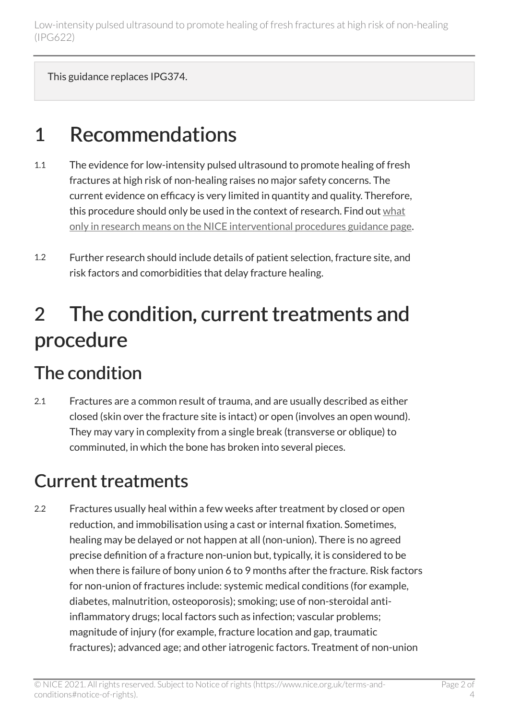This guidance replaces IPG374.

## 1 Recommendations

- 1.1 The evidence for low-intensity pulsed ultrasound to promote healing of fresh fractures at high risk of non-healing raises no major safety concerns. The current evidence on efficacy is very limited in quantity and quality. Therefore, this procedure should only be used in the context of research. Find out [what](https://www.nice.org.uk/about/what-we-do/our-programmes/nice-guidance/interventional-procedures-guidance/recommendations) [only in research means on the NICE interventional procedures guidance page.](https://www.nice.org.uk/about/what-we-do/our-programmes/nice-guidance/interventional-procedures-guidance/recommendations)
- 1.2 Further research should include details of patient selection, fracture site, and risk factors and comorbidities that delay fracture healing.

## 2 The condition, current treatments and procedure

#### The condition

2.1 Fractures are a common result of trauma, and are usually described as either closed (skin over the fracture site is intact) or open (involves an open wound). They may vary in complexity from a single break (transverse or oblique) to comminuted, in which the bone has broken into several pieces.

#### Current treatments

2.2 Fractures usually heal within a few weeks after treatment by closed or open reduction, and immobilisation using a cast or internal fixation. Sometimes, healing may be delayed or not happen at all (non-union). There is no agreed precise definition of a fracture non-union but, typically, it is considered to be when there is failure of bony union 6 to 9 months after the fracture. Risk factors for non-union of fractures include: systemic medical conditions (for example, diabetes, malnutrition, osteoporosis); smoking; use of non-steroidal antiinflammatory drugs; local factors such as infection; vascular problems; magnitude of injury (for example, fracture location and gap, traumatic fractures); advanced age; and other iatrogenic factors. Treatment of non-union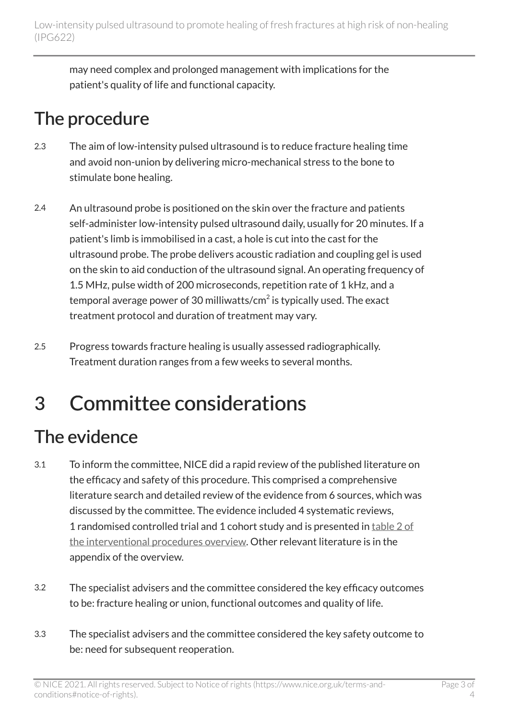may need complex and prolonged management with implications for the patient's quality of life and functional capacity.

#### The procedure

- 2.3 The aim of low-intensity pulsed ultrasound is to reduce fracture healing time and avoid non-union by delivering micro-mechanical stress to the bone to stimulate bone healing.
- 2.4 An ultrasound probe is positioned on the skin over the fracture and patients self-administer low-intensity pulsed ultrasound daily, usually for 20 minutes. If a patient's limb is immobilised in a cast, a hole is cut into the cast for the ultrasound probe. The probe delivers acoustic radiation and coupling gel is used on the skin to aid conduction of the ultrasound signal. An operating frequency of 1.5 MHz, pulse width of 200 microseconds, repetition rate of 1 kHz, and a temporal average power of 30 milliwatts/cm $^2$  is typically used. The exact treatment protocol and duration of treatment may vary.
- 2.5 Progress towards fracture healing is usually assessed radiographically. Treatment duration ranges from a few weeks to several months.

# 3 Committee considerations

#### The evidence

- 3.1 To inform the committee, NICE did a rapid review of the published literature on the efficacy and safety of this procedure. This comprised a comprehensive literature search and detailed review of the evidence from 6 sources, which was discussed by the committee. The evidence included 4 systematic reviews, 1 randomised controlled trial and 1 cohort study and is presented in [table](http://www.nice.org.uk/Guidance/IPG622/evidence) 2 of [the interventional procedures overview](http://www.nice.org.uk/Guidance/IPG622/evidence). Other relevant literature is in the appendix of the overview.
- 3.2 The specialist advisers and the committee considered the key efficacy outcomes to be: fracture healing or union, functional outcomes and quality of life.
- 3.3 The specialist advisers and the committee considered the key safety outcome to be: need for subsequent reoperation.